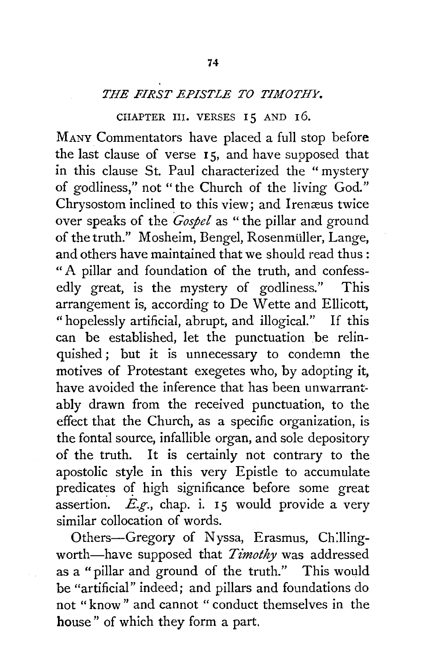## *THE FIRST EPISTLE TO TIMOTHY.*

## CHAPTER III. VERSES 15 AND 16.

MANY Commentators have placed a full stop before the last clause of verse 15, and have supposed that in this clause St. Paul characterized the " mystery of godliness," not "the Church of the living God." Chrysostom inclined to this view; and Irenæus twice over speaks of the *Gospel* as "the pillar and ground of the truth." Mosheim, Bengel, Rosenmüller, Lange, and others have maintained that we should read thus : " A pillar and foundation of the truth, and confessedly great, is the mystery of godliness." This arrangement is, according to De Wette and Ellicott, "hopelessly artificial, abrupt, and illogical." If this can be established, let the punctuation be relinquished ; but it is unnecessary to condemn the motives of Protestant exegetes who, by adopting it, have avoided the inference that has been unwarrantably drawn from the received punctuation, to the effect that the Church, as a specific organization, is the fontal source, infallible organ, and sole depository of the truth. It is certainly not contrary to the apostolic style in this very Epistle to accumulate predicates of high significance before some great assertion.  $E.g.,$  chap. i. 15 would provide a very similar collocation of words.

Others-Gregory of Nyssa, Erasmus, Chillingworth-have supposed that *Timothy* was addressed as a "pillar and ground of the truth." This would be "artificial" indeed; and pillars and foundations do not "know" and cannot " conduct themselves in the house" of which they form a part.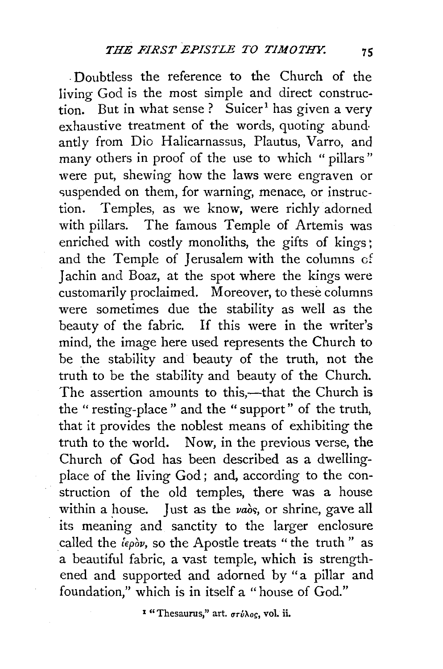. Doubtless the reference to the Church of the living God is the most simple and direct construction. But in what sense? Suicer<sup>1</sup> has given a very exhaustive treatment of the words, quoting abund· antly from Dio Halicarnassus, Plautus, Varro, and many others in proof of the use to which " pillars" were put, shewing how the laws were engraven or suspended on them, for warning, menace, or instruction. Temples, as we know, were richly adorned with pillars. The famous Temple of Artemis was enriched with costly monoliths, the gifts of kings: and the Temple of Jerusalem with the columns cf Jachin and Boaz, at the spot where the kings were customarily proclaimed. Moreover, to these columns were sometimes due the stability as well as the beauty of the fabric. If this were in the writer's mind, the image here used represents the Church to be the stability and beauty of the truth, not the truth to be the stability and beauty of the Church. The assertion amounts to this,-that the Church is the " resting-place" and the " support" of the truth, that it provides the noblest means of exhibiting the truth to the world. Now, in the previous verse, the Church of God has been described as a dwellingplace of the living God; and, according to the construction of the old temples, there was a house within a house. Just as the  $\nu a\delta s$ , or shrine, gave all its meaning and sanctity to the larger enclosure called the  $i\epsilon_{\rho\delta\nu}$ , so the Apostle treats " the truth" as a beautiful fabric, a vast temple, which is strengthened and supported and adorned by "a pillar and foundation," which is in itself a "house of God."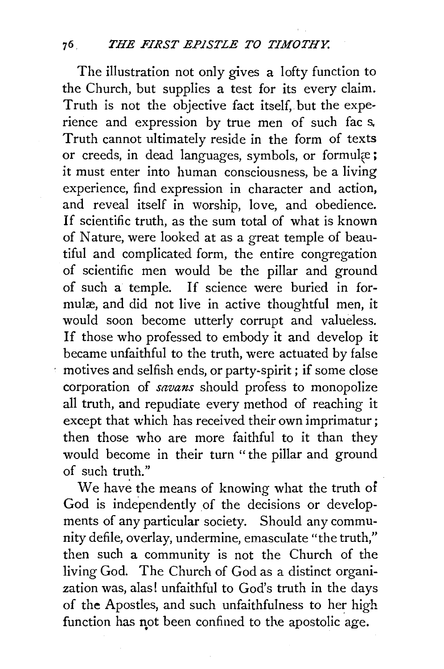The illustration not only gives a lofty function to the Church, but supplies a test for its every claim. Truth is not the objective fact itself, but the experience and expression by true men of such fac s. Truth cannot ultimately reside in the form of texts or creeds, in dead languages, symbols, or formulæ; it must enter into human consciousness, be a living experience, find expression in character and action, and reveal itself in worship, love, and obedience. If scientific truth, as the sum total of what is known of Nature, were looked at as a great temple of beautiful and complicated form, the entire congregation of scientific men would be the pillar and ground of such a temple. If science were buried in formulæ, and did not live in active thoughtful men, it would soon become utterly corrupt and valueless. If those who professed to embody it and develop it became unfaithful to the truth, were actuated by false motives and selfish ends, or party-spirit ; if some close corporation of *savans* should profess to monopolize all truth, and repudiate every method of reaching it except that which has received their own imprimatur ; then those who are more faithful to it than they would become in their turn "the pillar and ground of such truth."

We have the means of knowing what the truth of God is independently of the decisions or developments of any particular society. Should any community defile, overlay, undermine, emasculate "the truth," then such a community is not the Church of the living God. The Church of God as a distinct organization was, alas! unfaithful to God's truth in the days of the Apostles, and such unfaithfulness to her high function has not been confined to the apostolic age.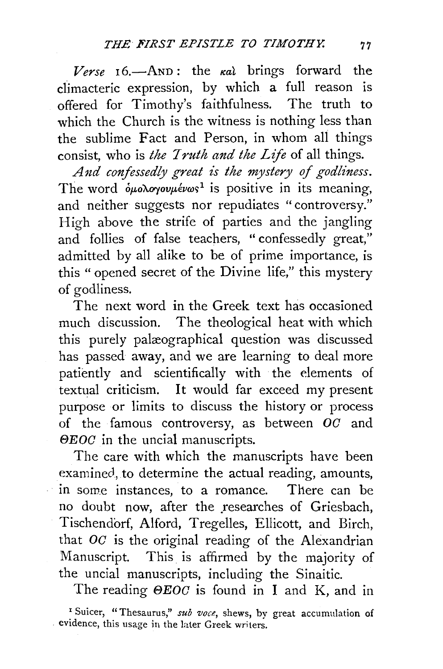$Verse$   $16.$ —AND: the  $\kappa a\ell$  brings forward the climacteric expression, by which a full reason is offered for Timothy's faithfulness. The truth to which the Church is the witness is nothing less than the sublime Fact and Person, in whom all things consist, who is *the Truth and the Life* of all things.

And confessedly great is the mystery of godliness. The word  $\delta \mu$ o $\lambda$ o $\gamma$ ov $\mu$ évωs<sup>1</sup> is positive in its meaning, and neither suggests nor repudiates " controversy." High above the strife of parties and the jangling and follies of false teachers, " confessedly great," admitted by all alike to be of prime importance, is this " opened secret of the Divine life," this mystery of godliness.

The next word in the Greek text has occasioned much discussion. The theological heat with which this purely palæographical question was discussed has passed away, and we are learning to deal more patiently and scientifically with the elements of textual criticism. It would far exceed my present purpose or limits to discuss the history or process of the famous controversy, as between  $OC$  and  $\Theta EOC$  in the uncial manuscripts.

The care with which the manuscripts have been examined, to determine the actual reading, amounts, in some instances, to a romance. There can be no doubt now, after the researches of Griesbach, Tischendorf, Alford, Tregelles, Ellicott, and Birch, that  $OC$  is the original reading of the Alexandrian Manuscript. This is affirmed by the majority of the uncial manuscripts, including the Sinaitic.

The reading  $\Theta EOC$  is found in I and K, and in

<sup>&</sup>lt;sup>1</sup> Suicer, "Thesaurus," *sub voce*, shews, by great accumulation of evidence, this usage in the later Greek writers.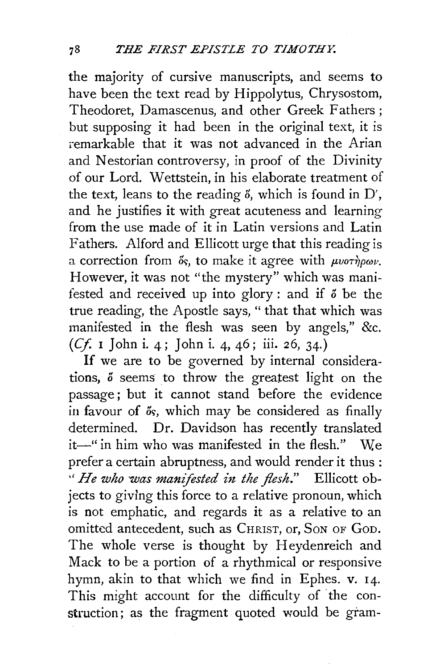the majority of cursive manuscripts, and seems to have been the text read by Hippolytus, Chrysostom, Theodoret, Damascenus, and other Greek Fathers ; but supposing it had been in the original text, it is remarkable that it was not advanced in the Arian and Nestorian controversy, in proof of the Divinity of our Lord. W ettstein, in his elaborate treatment of the text, leans to the reading  $\delta$ , which is found in D', and he justifies it with great acuteness and learning from the use made of it in Latin versions and Latin Fathers. Alford and Ellicott urge that this reading is a correction from  $\delta s$ , to make it agree with  $\mu\nu\sigma\dot{\eta}\rho\omega\nu$ . However, it was not "the mystery" which was manifested and received up into glory : and if  $\delta$  be the true reading, the Apostle says, "that that which was manifested in the flesh was seen by angels," &c. (Cf I John i. 4; John i. 4, 46; iii. 26, 34.)

If we are to be governed by internal considerations,  $\delta$  seems to throw the greatest light on the passage ; but it cannot stand before the evidence in favour of  $\delta s$ , which may be considered as finally determined. Dr. Davidson has recently translated it-" in him who was manifested in the flesh." We prefer a certain abruptness, and would render it thus : " *He who was manifested in the flesh*." Ellicott objects to givlng this force to a relative pronoun, which is not emphatic, and. regards it as a relative to an omitted antecedent, such as CHRIST, or, SoN OF GoD. The whole verse is thought by Heydenreich and Mack to be a portion of a rhythmical or responsive hymn, akin to that which we find in Ephes. v. 14. This might account for the difficulty of the construction; as the fragment quoted would be gram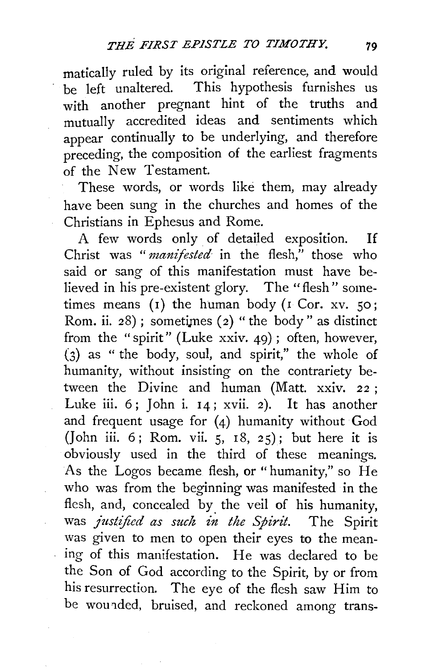matically ruled by its original reference, and would be left unaltered. This hypothesis furnishes us with another pregnant hint of the truths and mutually accredited ideas and sentiments which appear continually to be underlying, and therefore preceding, the composition of the earliest fragments of the New Testament.

These words, or words like them, may already have been sung in the churches and homes of the Christians in Ephesus and *Rome.* 

A few words only of detailed exposition. If Christ was "*manifested* in the flesh," those who said or sang of this manifestation must have *be*lieved in his pre-existent glory. The "flesh" *some*times means (1) the human body (1 Cor. xv. 50; Rom. ii. 28); sometimes (2) " the body " as distinct from the "spirit" (Luke xxiv. 49) ; often, however, (3) as " the body, soul, and spirit," the whole of humanity, without insisting on the contrariety *be*tween the Divine and human (Matt. xxiv. 22; Luke iii.  $6$ ; John i.  $14$ ; xvii. 2). It has another and frequent usage for (4) humanity without God (John iii. 6; Rom. vii.  $5, 18, 25$ ); but here it is obviously used in the third of these meanings. As the Logos became flesh, or "humanity," so He who was from the beginning was manifested in the flesh, and, concealed by. the veil of his humanity, was *justified as such in the Spirit.* The Spirit was given to men to open their eyes to the meaning of this manifestation. He was declared to *be*  the Son of God according to the Spirit, by or from his resurrection. The eye of the flesh saw Him to be wounded, bruised, and reckoned among trans-